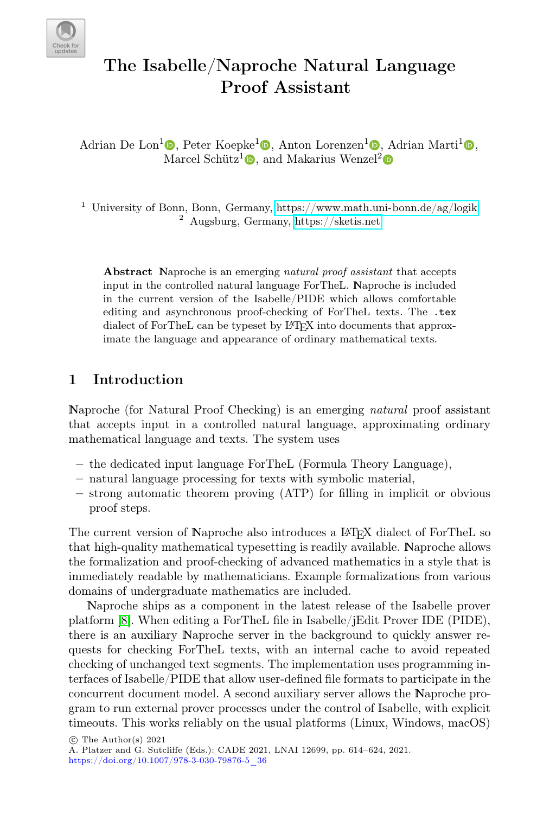

# The Isabelle/Naproche Natural Language Proof Assistant

Adrian De Lon<sup>1</sup> $\textcircled{\tiny{\textbullet}}$ [,](http://orcid.org/0000-0001-8932-8843) Peter Koepke<sup>1</sup> $\textcircled{\tiny{\textbullet}}$ , Anton Lorenzen<sup>1</sup> $\textcircled{\tiny{\textbullet}}$ , Adrian Marti<sup>1</sup> $\textcircled{\tiny{\textbullet}}$ , Marcel Schütz<sup>1</sup><sup>0</sup>, and Makarius Wenzel<sup>2</sup>

<sup>1</sup> University of Bonn, Bonn, Germany,<https://www.math.uni-bonn.de/ag/logik> <sup>2</sup> Augsburg, Germany,<https://sketis.net>

Abstract Naproche is an emerging natural proof assistant that accepts input in the controlled natural language ForTheL. Naproche is included in the current version of the Isabelle/PIDE which allows comfortable editing and asynchronous proof-checking of ForTheL texts. The .tex dialect of ForTheL can be typeset by L<sup>AT</sup>EX into documents that approximate the language and appearance of ordinary mathematical texts.

# 1 Introduction

Naproche (for Natural Proof Checking) is an emerging *natural* proof assistant that accepts input in a controlled natural language, approximating ordinary mathematical language and texts. The system uses

- the dedicated input language ForTheL (Formula Theory Language),
- natural language processing for texts with symbolic material,
- strong automatic theorem proving (ATP) for filling in implicit or obvious proof steps.

The current version of Naproche also introduces a LATEX dialect of ForTheL so that high-quality mathematical typesetting is readily available. Naproche allows the formalization and proof-checking of advanced mathematics in a style that is immediately readable by mathematicians. Example formalizations from various domains of undergraduate mathematics are included.

aproche ships as a component in the latest release of the Isabelle prover platform [\[8\]](#page-9-0). When editing a ForTheL file in Isabelle/jEdit Prover IDE (PIDE), there is an auxiliary Naproche server in the background to quickly answer requests for checking ForTheL texts, with an internal cache to avoid repeated checking of unchanged text segments. The implementation uses programming interfaces of Isabelle/PIDE that allow user-defined file formats to participate in the concurrent document model. A second auxiliary server allows the Naproche program to run external prover processes under the control of Isabelle, with explicit timeouts. This works reliably on the usual platforms (Linux, Windows, macOS)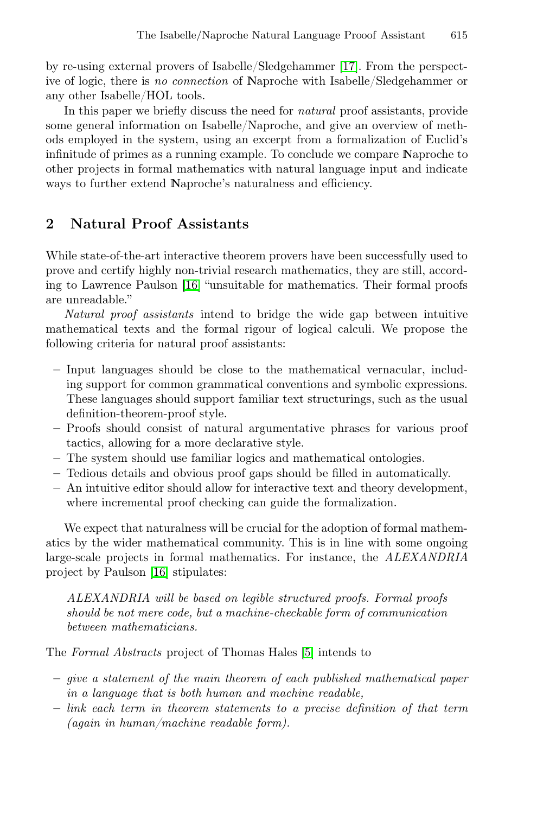by re-using external provers of Isabelle/Sledgehammer [\[17\]](#page-10-0). From the perspective of logic, there is no connection of Naproche with Isabelle/Sledgehammer or any other Isabelle/HOL tools.

In this paper we briefly discuss the need for natural proof assistants, provide some general information on Isabelle/Naproche, and give an overview of methods employed in the system, using an excerpt from a formalization of Euclid's infinitude of primes as a running example. To conclude we compare  $\mathbb N$  aproche to other projects in formal mathematics with natural language input and indicate ways to further extend Naproche's naturalness and efficiency.

# 2 Natural Proof Assistants

While state-of-the-art interactive theorem provers have been successfully used to prove and certify highly non-trivial research mathematics, they are still, according to Lawrence Paulson [\[16\]](#page-9-1) "unsuitable for mathematics. Their formal proofs are unreadable."

Natural proof assistants intend to bridge the wide gap between intuitive mathematical texts and the formal rigour of logical calculi. We propose the following criteria for natural proof assistants:

- Input languages should be close to the mathematical vernacular, including support for common grammatical conventions and symbolic expressions. These languages should support familiar text structurings, such as the usual definition-theorem-proof style.
- Proofs should consist of natural argumentative phrases for various proof tactics, allowing for a more declarative style.
- The system should use familiar logics and mathematical ontologies.
- Tedious details and obvious proof gaps should be filled in automatically.
- An intuitive editor should allow for interactive text and theory development, where incremental proof checking can guide the formalization.

We expect that naturalness will be crucial for the adoption of formal mathematics by the wider mathematical community. This is in line with some ongoing large-scale projects in formal mathematics. For instance, the ALEXANDRIA project by Paulson [\[16\]](#page-9-1) stipulates:

ALEXANDRIA will be based on legible structured proofs. Formal proofs should be not mere code, but a machine-checkable form of communication between mathematicians.

The Formal Abstracts project of Thomas Hales [\[5\]](#page-9-2) intends to

- give a statement of the main theorem of each published mathematical paper in a language that is both human and machine readable,
- link each term in theorem statements to a precise definition of that term (again in human/machine readable form).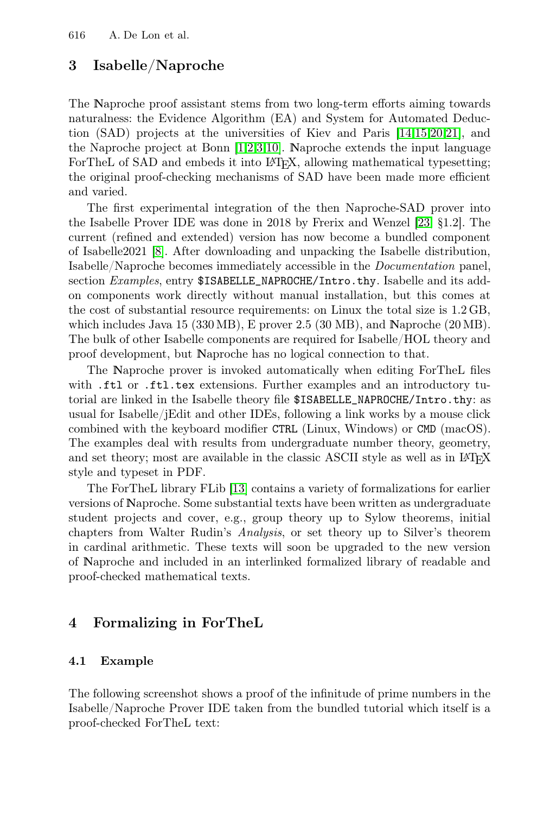#### 3 Isabelle/Naproche

The Naproche proof assistant stems from two long-term efforts aiming towards naturalness: the Evidence Algorithm (EA) and System for Automated Deduction (SAD) projects at the universities of Kiev and Paris [\[14,](#page-9-3)[15,](#page-9-4)[20,](#page-10-1)[21\]](#page-10-2), and the Naproche project at Bonn  $[1,2,3,10]$  $[1,2,3,10]$  $[1,2,3,10]$  $[1,2,3,10]$ . Naproche extends the input language ForTheL of SAD and embeds it into L<sup>AT</sup>EX, allowing mathematical typesetting; the original proof-checking mechanisms of SAD have been made more efficient and varied.

The first experimental integration of the then Naproche-SAD prover into the Isabelle Prover IDE was done in 2018 by Frerix and Wenzel [\[23,](#page-10-3) §1.2]. The current (refined and extended) version has now become a bundled component of Isabelle2021 [\[8\]](#page-9-0). After downloading and unpacking the Isabelle distribution, Isabelle/Naproche becomes immediately accessible in the Documentation panel, section Examples, entry  $$ISABELLE_NAPROCHE/Intro.$  Isabelle and its addon components work directly without manual installation, but this comes at the cost of substantial resource requirements: on Linux the total size is 1.2 GB, which includes Java 15 (330 MB), E prover 2.5 (30 MB), and Naproche (20 MB). The bulk of other Isabelle components are required for Isabelle/HOL theory and proof development, but Naproche has no logical connection to that.

The Naproche prover is invoked automatically when editing ForTheL files with .ftl or .ftl.tex extensions. Further examples and an introductory tutorial are linked in the Isabelle theory file \$ISABELLE\_NAPROCHE/Intro.thy: as usual for Isabelle/jEdit and other IDEs, following a link works by a mouse click combined with the keyboard modifier CTRL (Linux, Windows) or CMD (macOS). The examples deal with results from undergraduate number theory, geometry, and set theory; most are available in the classic ASCII style as well as in LATEX style and typeset in PDF.

The ForTheL library FLib [\[13\]](#page-9-9) contains a variety of formalizations for earlier versions of Naproche. Some substantial texts have been written as undergraduate student projects and cover, e.g., group theory up to Sylow theorems, initial chapters from Walter Rudin's Analysis, or set theory up to Silver's theorem in cardinal arithmetic. These texts will soon be upgraded to the new version of Naproche and included in an interlinked formalized library of readable and proof-checked mathematical texts.

## 4 Formalizing in ForTheL

#### 4.1 Example

The following screenshot shows a proof of the infinitude of prime numbers in the Isabelle/Naproche Prover IDE taken from the bundled tutorial which itself is a proof-checked ForTheL text: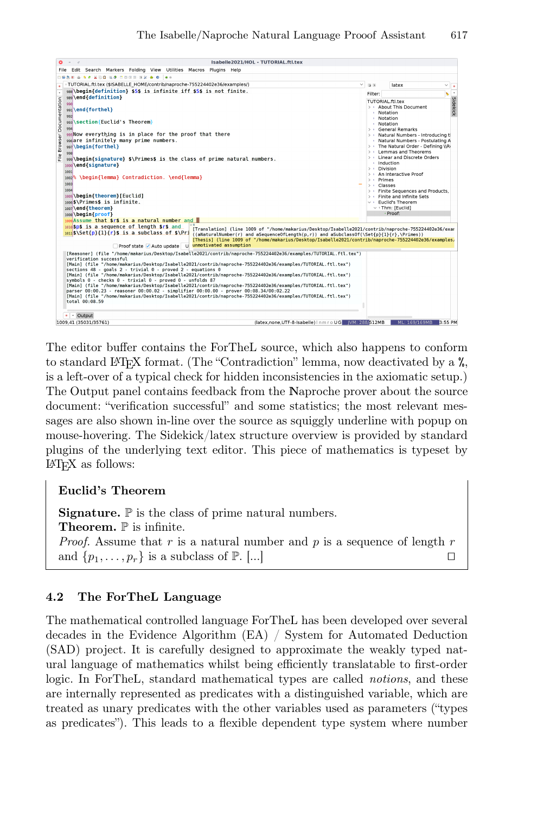

The editor buffer contains the ForTheL source, which also happens to conform to standard LATEX format. (The "Contradiction" lemma, now deactivated by a  $\mathcal{C}$ , is a left-over of a typical check for hidden inconsistencies in the axiomatic setup.) The Output panel contains feedback from the Naproche prover about the source document: "verification successful" and some statistics; the most relevant messages are also shown in-line over the source as squiggly underline with popup on mouse-hovering. The Sidekick/latex structure overview is provided by standard plugins of the underlying text editor. This piece of mathematics is typeset by LATEX as follows:

#### Euclid's Theorem

**Signature.**  $\mathbb P$  is the class of prime natural numbers. **Theorem.**  $\mathbb P$  is infinite. *Proof.* Assume that r is a natural number and p is a sequence of length r and  $\{p_1, \ldots, p_r\}$  is a subclass of  $\mathbb{P}$ . [...]

#### 4.2 The ForTheL Language

The mathematical controlled language ForTheL has been developed over several decades in the Evidence Algorithm (EA) / System for Automated Deduction (SAD) project. It is carefully designed to approximate the weakly typed natural language of mathematics whilst being efficiently translatable to first-order logic. In ForTheL, standard mathematical types are called notions, and these are internally represented as predicates with a distinguished variable, which are treated as unary predicates with the other variables used as parameters ("types as predicates"). This leads to a flexible dependent type system where number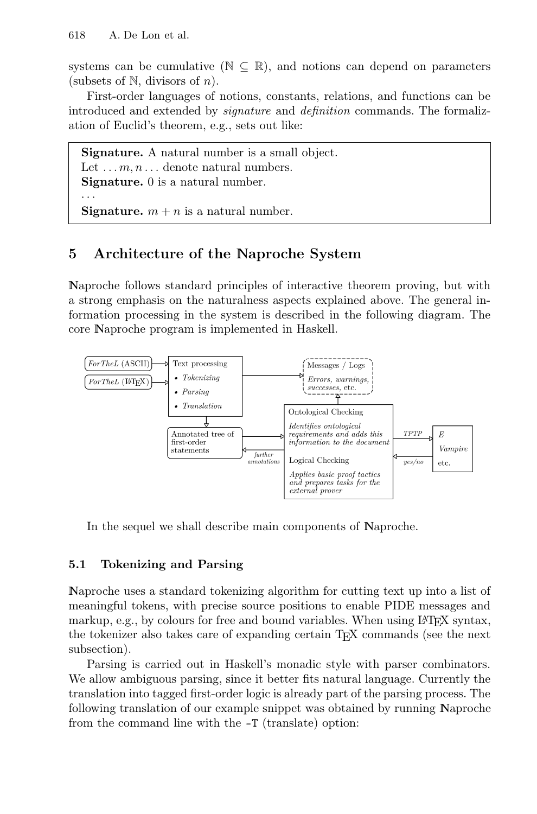systems can be cumulative ( $\mathbb{N} \subseteq \mathbb{R}$ ), and notions can depend on parameters (subsets of  $\mathbb N$ , divisors of *n*).

First-order languages of notions, constants, relations, and functions can be introduced and extended by signature and definition commands. The formalization of Euclid's theorem, e.g., sets out like:

Signature. A natural number is a small object. Let  $\dots m, n \dots$  denote natural numbers. Signature. 0 is a natural number. · · · **Signature.**  $m + n$  is a natural number.

# 5 Architecture of the Naproche System

Naproche follows standard principles of interactive theorem proving, but with a strong emphasis on the naturalness aspects explained above. The general information processing in the system is described in the following diagram. The core Naproche program is implemented in Haskell.



In the sequel we shall describe main components of Naproche.

## 5.1 Tokenizing and Parsing

aproche uses a standard tokenizing algorithm for cutting text up into a list of meaningful tokens, with precise source positions to enable PIDE messages and markup, e.g., by colours for free and bound variables. When using  $L^2T_FX$  syntax, the tokenizer also takes care of expanding certain T<sub>E</sub>X commands (see the next subsection).

Parsing is carried out in Haskell's monadic style with parser combinators. We allow ambiguous parsing, since it better fits natural language. Currently the translation into tagged first-order logic is already part of the parsing process. The following translation of our example snippet was obtained by running Naproche from the command line with the -T (translate) option: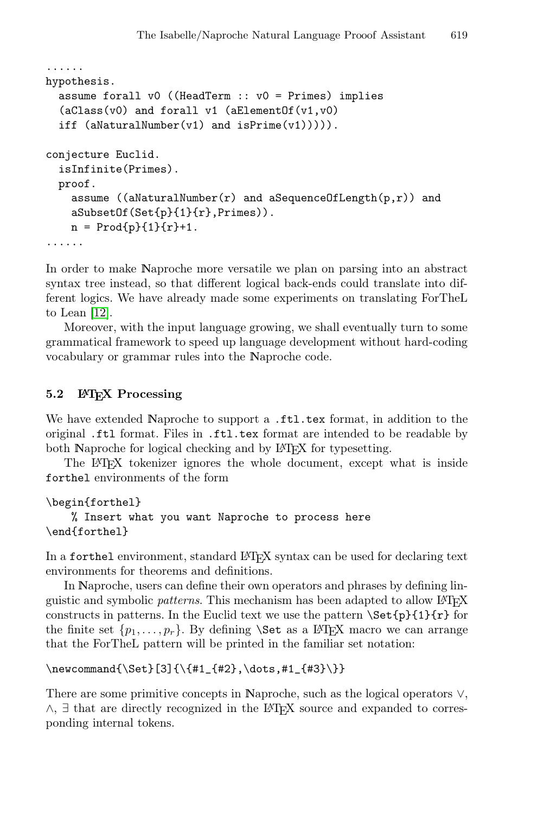```
......
hypothesis.
  assume forall v0 ((HeadTerm :: v0 = Primes) implies
  (aClass(v0) and forall v1 (aElementOf(v1,v0))iff (aNaturalNumber(v1) and isPrime(v1)))).
conjecture Euclid.
  isInfinite(Primes).
  proof.
    assume ((aNaturalNumber(r) and aSequenceOfLength(p,r)) and
    aSubsetOf(Set{p}{1}{r},Primes)).
    n = \text{Prod{p}{1}{r+1}.......
```
In order to make Naproche more versatile we plan on parsing into an abstract syntax tree instead, so that different logical back-ends could translate into different logics. We have already made some experiments on translating ForTheL to Lean [\[12\]](#page-9-10).

Moreover, with the input language growing, we shall eventually turn to some grammatical framework to speed up language development without hard-coding vocabulary or grammar rules into the Naproche code.

#### 5.2 LATEX Processing

We have extended Naproche to support a  $.$  ftl.tex format, in addition to the original .ftl format. Files in .ftl.tex format are intended to be readable by both Naproche for logical checking and by LATEX for typesetting.

The LATEX tokenizer ignores the whole document, except what is inside forthel environments of the form

```
\begin{forthel}
```

```
% Insert what you want Naproche to process here
\end{forthel}
```
In a forthel environment, standard LATEX syntax can be used for declaring text environments for theorems and definitions.

In Naproche, users can define their own operators and phrases by defining linguistic and symbolic *patterns*. This mechanism has been adapted to allow L<sup>AT</sup>FX constructs in patterns. In the Euclid text we use the pattern  $\Set{pt{1}{r}$  for the finite set  $\{p_1, \ldots, p_r\}$ . By defining **\Set** as a LATEX macro we can arrange that the ForTheL pattern will be printed in the familiar set notation:

```
\newcommand{\Set{}{\Set}{{#1_{#2},\dots,H_{#3}}}\}
```
There are some primitive concepts in Naproche, such as the logical operators  $\vee$ , ∧, ∃ that are directly recognized in the LATEX source and expanded to corresponding internal tokens.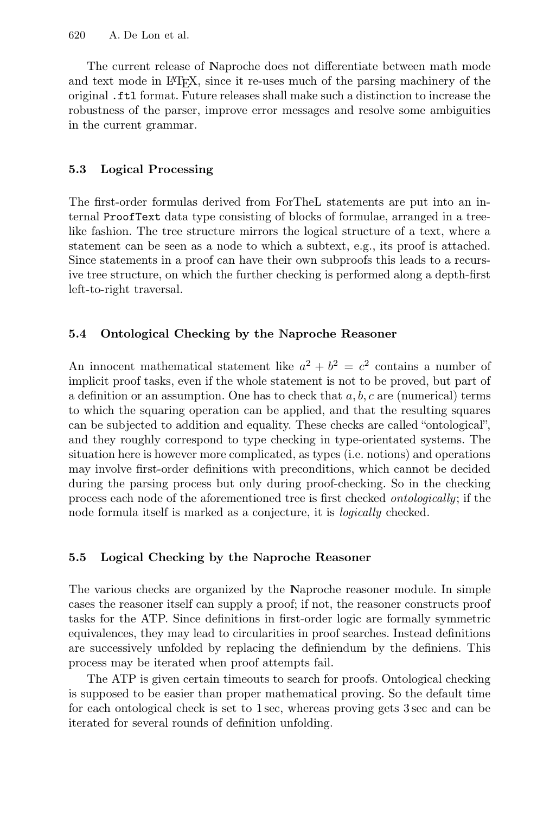The current release of Naproche does not differentiate between math mode and text mode in LATEX, since it re-uses much of the parsing machinery of the original .ftl format. Future releases shall make such a distinction to increase the robustness of the parser, improve error messages and resolve some ambiguities in the current grammar.

#### 5.3 Logical Processing

The first-order formulas derived from ForTheL statements are put into an internal ProofText data type consisting of blocks of formulae, arranged in a treelike fashion. The tree structure mirrors the logical structure of a text, where a statement can be seen as a node to which a subtext, e.g., its proof is attached. Since statements in a proof can have their own subproofs this leads to a recursive tree structure, on which the further checking is performed along a depth-first left-to-right traversal.

#### 5.4 Ontological Checking by the Naproche Reasoner

An innocent mathematical statement like  $a^2 + b^2 = c^2$  contains a number of implicit proof tasks, even if the whole statement is not to be proved, but part of a definition or an assumption. One has to check that  $a, b, c$  are (numerical) terms to which the squaring operation can be applied, and that the resulting squares can be subjected to addition and equality. These checks are called "ontological", and they roughly correspond to type checking in type-orientated systems. The situation here is however more complicated, as types (i.e. notions) and operations may involve first-order definitions with preconditions, which cannot be decided during the parsing process but only during proof-checking. So in the checking process each node of the aforementioned tree is first checked ontologically; if the node formula itself is marked as a conjecture, it is logically checked.

#### 5.5 Logical Checking by the Naproche Reasoner

The various checks are organized by the Naproche reasoner module. In simple cases the reasoner itself can supply a proof; if not, the reasoner constructs proof tasks for the ATP. Since definitions in first-order logic are formally symmetric equivalences, they may lead to circularities in proof searches. Instead definitions are successively unfolded by replacing the definiendum by the definiens. This process may be iterated when proof attempts fail.

The ATP is given certain timeouts to search for proofs. Ontological checking is supposed to be easier than proper mathematical proving. So the default time for each ontological check is set to 1 sec, whereas proving gets 3 sec and can be iterated for several rounds of definition unfolding.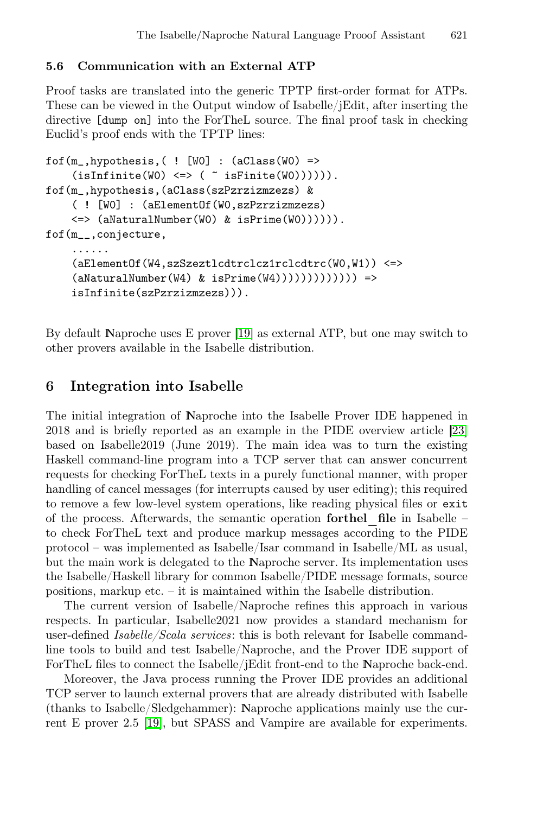#### 5.6 Communication with an External ATP

Proof tasks are translated into the generic TPTP first-order format for ATPs. These can be viewed in the Output window of Isabelle/jEdit, after inserting the directive [dump on] into the ForTheL source. The final proof task in checking Euclid's proof ends with the TPTP lines:

```
f \circ f(m_-,hypothesis, ( ! [WO] : (aClass(W0) =\rangle(i sInfinite(W0) \iff ( " isFinite(WO))))).
fof(m_,hypothesis,(aClass(szPzrzizmzezs) &
    ( ! [W0] : (aElementOf(W0,szPzrzizmzezs)
    <=> (aNaturalNumber(W0) & isPrime(W0)))))).
fof(m__,conjecture,
    ......
    (aElementOf(W4,szSzeztlcdtrclcz1rclcdtrc(W0,W1)) <=>
    (\text{aNaturalNumber}(W4) & \text{isPrime}(W4))))))))))))))) =>
    isInfinite(szPzrzizmzezs))).
```
By default Naproche uses E prover  $[19]$  as external ATP, but one may switch to other provers available in the Isabelle distribution.

## 6 Integration into Isabelle

The initial integration of Naproche into the Isabelle Prover IDE happened in 2018 and is briefly reported as an example in the PIDE overview article [\[23\]](#page-10-3) based on Isabelle2019 (June 2019). The main idea was to turn the existing Haskell command-line program into a TCP server that can answer concurrent requests for checking ForTheL texts in a purely functional manner, with proper handling of cancel messages (for interrupts caused by user editing); this required to remove a few low-level system operations, like reading physical files or exit of the process. Afterwards, the semantic operation for the in Isabelle – to check ForTheL text and produce markup messages according to the PIDE protocol – was implemented as Isabelle/Isar command in Isabelle/ML as usual, but the main work is delegated to the Naproche server. Its implementation uses the Isabelle/Haskell library for common Isabelle/PIDE message formats, source positions, markup etc. – it is maintained within the Isabelle distribution.

The current version of Isabelle/Naproche refines this approach in various respects. In particular, Isabelle2021 now provides a standard mechanism for user-defined Isabelle/Scala services: this is both relevant for Isabelle commandline tools to build and test Isabelle/Naproche, and the Prover IDE support of ForTheL files to connect the Isabelle/jEdit front-end to the Naproche back-end.

Moreover, the Java process running the Prover IDE provides an additional TCP server to launch external provers that are already distributed with Isabelle  $(thanks to Isabelle/Sledgehammer): Naproche applications mainly use the cur$ rent E prover 2.5 [\[19\]](#page-10-4), but SPASS and Vampire are available for experiments.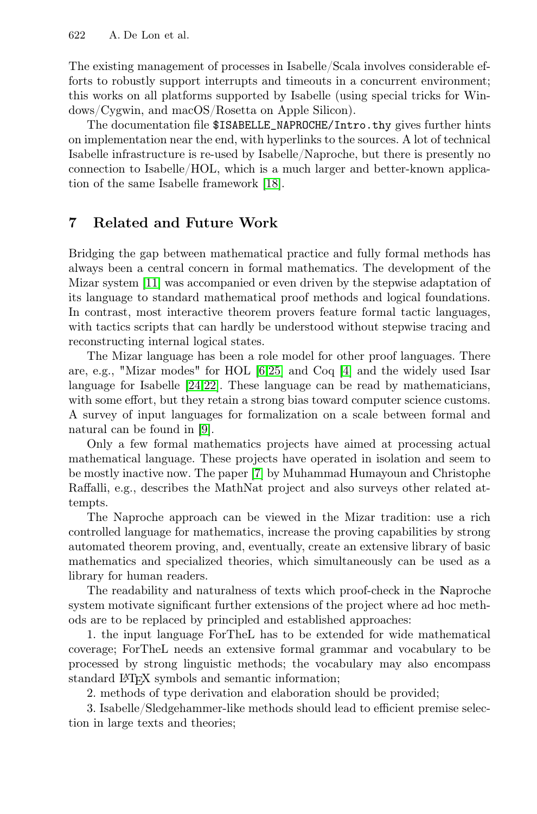The existing management of processes in Isabelle/Scala involves considerable efforts to robustly support interrupts and timeouts in a concurrent environment; this works on all platforms supported by Isabelle (using special tricks for Windows/Cygwin, and macOS/Rosetta on Apple Silicon).

The documentation file \$ISABELLE\_NAPROCHE/Intro.thy gives further hints on implementation near the end, with hyperlinks to the sources. A lot of technical Isabelle infrastructure is re-used by Isabelle/Naproche, but there is presently no connection to Isabelle/HOL, which is a much larger and better-known application of the same Isabelle framework [\[18\]](#page-10-5).

# 7 Related and Future Work

Bridging the gap between mathematical practice and fully formal methods has always been a central concern in formal mathematics. The development of the Mizar system [\[11\]](#page-9-11) was accompanied or even driven by the stepwise adaptation of its language to standard mathematical proof methods and logical foundations. In contrast, most interactive theorem provers feature formal tactic languages, with tactics scripts that can hardly be understood without stepwise tracing and reconstructing internal logical states.

The Mizar language has been a role model for other proof languages. There are, e.g., "Mizar modes" for HOL [\[6,](#page-9-12)[25\]](#page-10-6) and Coq [\[4\]](#page-9-13) and the widely used Isar language for Isabelle [\[24](#page-10-7)[,22\]](#page-10-8). These language can be read by mathematicians, with some effort, but they retain a strong bias toward computer science customs. A survey of input languages for formalization on a scale between formal and natural can be found in [\[9\]](#page-9-14).

Only a few formal mathematics projects have aimed at processing actual mathematical language. These projects have operated in isolation and seem to be mostly inactive now. The paper [\[7\]](#page-9-15) by Muhammad Humayoun and Christophe Raffalli, e.g., describes the MathNat project and also surveys other related attempts.

The Naproche approach can be viewed in the Mizar tradition: use a rich controlled language for mathematics, increase the proving capabilities by strong automated theorem proving, and, eventually, create an extensive library of basic mathematics and specialized theories, which simultaneously can be used as a library for human readers.

The readability and naturalness of texts which proof-check in the Naproche system motivate significant further extensions of the project where ad hoc methods are to be replaced by principled and established approaches:

1. the input language ForTheL has to be extended for wide mathematical coverage; ForTheL needs an extensive formal grammar and vocabulary to be processed by strong linguistic methods; the vocabulary may also encompass standard L<sup>AT</sup>EX symbols and semantic information;

2. methods of type derivation and elaboration should be provided;

3. Isabelle/Sledgehammer-like methods should lead to efficient premise selection in large texts and theories;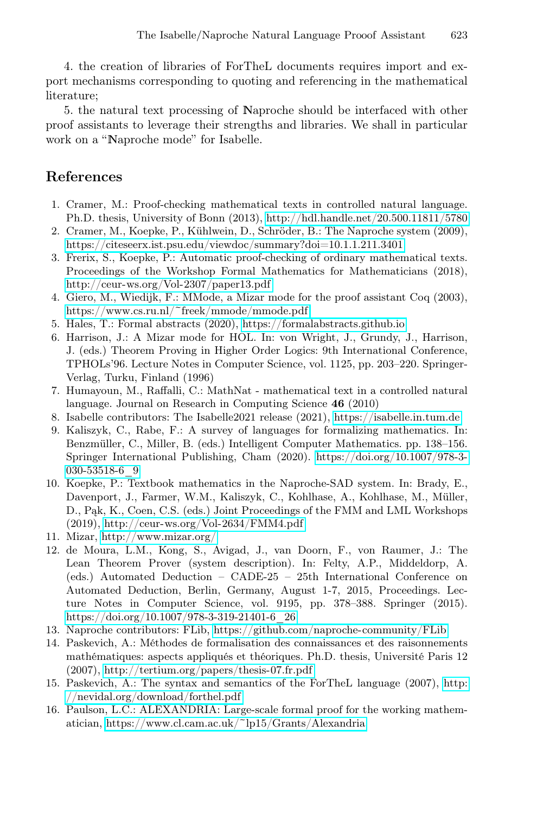4. the creation of libraries of ForTheL documents requires import and export mechanisms corresponding to quoting and referencing in the mathematical literature;

5. the natural text processing of Naproche should be interfaced with other proof assistants to leverage their strengths and libraries. We shall in particular work on a "Naproche mode" for Isabelle.

## References

- <span id="page-9-5"></span>1. Cramer, M.: Proof-checking mathematical texts in controlled natural language. Ph.D. thesis, University of Bonn (2013),<http://hdl.handle.net/20.500.11811/5780>
- <span id="page-9-6"></span>2. Cramer, M., Koepke, P., Kühlwein, D., Schröder, B.: The Naproche system (2009), <https://citeseerx.ist.psu.edu/viewdoc/summary?doi=10.1.1.211.3401>
- <span id="page-9-7"></span>3. Frerix, S., Koepke, P.: Automatic proof-checking of ordinary mathematical texts. Proceedings of the Workshop Formal Mathematics for Mathematicians (2018), <http://ceur-ws.org/Vol-2307/paper13.pdf>
- <span id="page-9-13"></span>4. Giero, M., Wiedijk, F.: MMode, a Mizar mode for the proof assistant Coq (2003), <https://www.cs.ru.nl/~freek/mmode/mmode.pdf>
- <span id="page-9-2"></span>5. Hales, T.: Formal abstracts (2020),<https://formalabstracts.github.io>
- <span id="page-9-12"></span>6. Harrison, J.: A Mizar mode for HOL. In: von Wright, J., Grundy, J., Harrison, J. (eds.) Theorem Proving in Higher Order Logics: 9th International Conference, TPHOLs'96. Lecture Notes in Computer Science, vol. 1125, pp. 203–220. Springer-Verlag, Turku, Finland (1996)
- <span id="page-9-15"></span>7. Humayoun, M., Raffalli, C.: MathNat - mathematical text in a controlled natural language. Journal on Research in Computing Science 46 (2010)
- <span id="page-9-0"></span>8. Isabelle contributors: The Isabelle2021 release (2021),<https://isabelle.in.tum.de>
- <span id="page-9-14"></span>9. Kaliszyk, C., Rabe, F.: A survey of languages for formalizing mathematics. In: Benzmüller, C., Miller, B. (eds.) Intelligent Computer Mathematics. pp. 138–156. Springer International Publishing, Cham (2020). [https://doi.org/10.1007/978-3-](https://doi.org/10.1007/978-3-030-53518-6_9) [030-53518-6\\_9](https://doi.org/10.1007/978-3-030-53518-6_9)
- <span id="page-9-8"></span>10. Koepke, P.: Textbook mathematics in the Naproche-SAD system. In: Brady, E., Davenport, J., Farmer, W.M., Kaliszyk, C., Kohlhase, A., Kohlhase, M., Müller, D., Pąk, K., Coen, C.S. (eds.) Joint Proceedings of the FMM and LML Workshops (2019),<http://ceur-ws.org/Vol-2634/FMM4.pdf>
- <span id="page-9-11"></span>11. Mizar,<http://www.mizar.org/>
- <span id="page-9-10"></span>12. de Moura, L.M., Kong, S., Avigad, J., van Doorn, F., von Raumer, J.: The Lean Theorem Prover (system description). In: Felty, A.P., Middeldorp, A. (eds.) Automated Deduction – CADE-25 – 25th International Conference on Automated Deduction, Berlin, Germany, August 1-7, 2015, Proceedings. Lecture Notes in Computer Science, vol. 9195, pp. 378–388. Springer (2015). [https://doi.org/10.1007/978-3-319-21401-6\\_26](https://doi.org/10.1007/978-3-319-21401-6_26)
- <span id="page-9-9"></span>13. Naproche contributors: FLib,<https://github.com/naproche-community/FLib>
- <span id="page-9-3"></span>14. Paskevich, A.: Méthodes de formalisation des connaissances et des raisonnements mathématiques: aspects appliqués et théoriques. Ph.D. thesis, Université Paris 12 (2007),<http://tertium.org/papers/thesis-07.fr.pdf>
- <span id="page-9-4"></span>15. Paskevich, A.: The syntax and semantics of the ForTheL language (2007), [http:](http://nevidal.org/download/forthel.pdf) [//nevidal.org/download/forthel.pdf](http://nevidal.org/download/forthel.pdf)
- <span id="page-9-1"></span>16. Paulson, L.C.: ALEXANDRIA: Large-scale formal proof for the working mathematician,<https://www.cl.cam.ac.uk/~lp15/Grants/Alexandria>